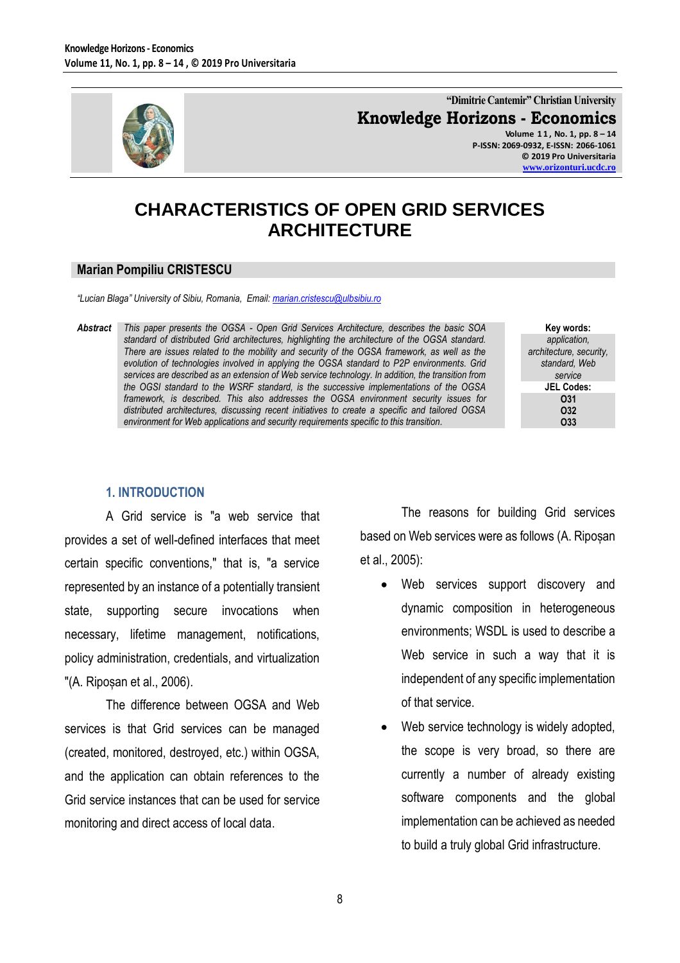

**"Dimitrie Cantemir" Christian University Knowledge Horizons - Economics Volume 1 1 , No. 1, pp. 8 – 14**

**P-ISSN: 2069-0932, E-ISSN: 2066-1061 © 2019 Pro Universitaria [www.orizonturi.ucdc.ro](http://www.orizonturi.ucdc.ro/)**

# **CHARACTERISTICS OF OPEN GRID SERVICES ARCHITECTURE**

#### **Marian Pompiliu CRISTESCU**

*"Lucian Blaga" University of Sibiu, Romania, Email[: marian.cristescu@ulbsibiu.ro](mailto:marian.cristescu@ulbsibiu.ro)* 

*Abstract This paper presents the OGSA - Open Grid Services Architecture, describes the basic SOA standard of distributed Grid architectures, highlighting the architecture of the OGSA standard. There are issues related to the mobility and security of the OGSA framework, as well as the evolution of technologies involved in applying the OGSA standard to P2P environments. Grid services are described as an extension of Web service technology. In addition, the transition from the OGSI standard to the WSRF standard, is the successive implementations of the OGSA framework, is described. This also addresses the OGSA environment security issues for distributed architectures, discussing recent initiatives to create a specific and tailored OGSA environment for Web applications and security requirements specific to this transition.*

**Key words:** *application, architecture, security, standard, Web service* **JEL Codes: O31 O32 O33**

#### **1. INTRODUCTION**

A Grid service is "a web service that provides a set of well-defined interfaces that meet certain specific conventions," that is, "a service represented by an instance of a potentially transient state, supporting secure invocations when necessary, lifetime management, notifications, policy administration, credentials, and virtualization "(A. Ripoșan et al., 2006).

The difference between OGSA and Web services is that Grid services can be managed (created, monitored, destroyed, etc.) within OGSA, and the application can obtain references to the Grid service instances that can be used for service monitoring and direct access of local data.

The reasons for building Grid services based on Web services were as follows (A. Ripoșan et al., 2005):

- Web services support discovery and dynamic composition in heterogeneous environments; WSDL is used to describe a Web service in such a way that it is independent of any specific implementation of that service.
- Web service technology is widely adopted, the scope is very broad, so there are currently a number of already existing software components and the global implementation can be achieved as needed to build a truly global Grid infrastructure.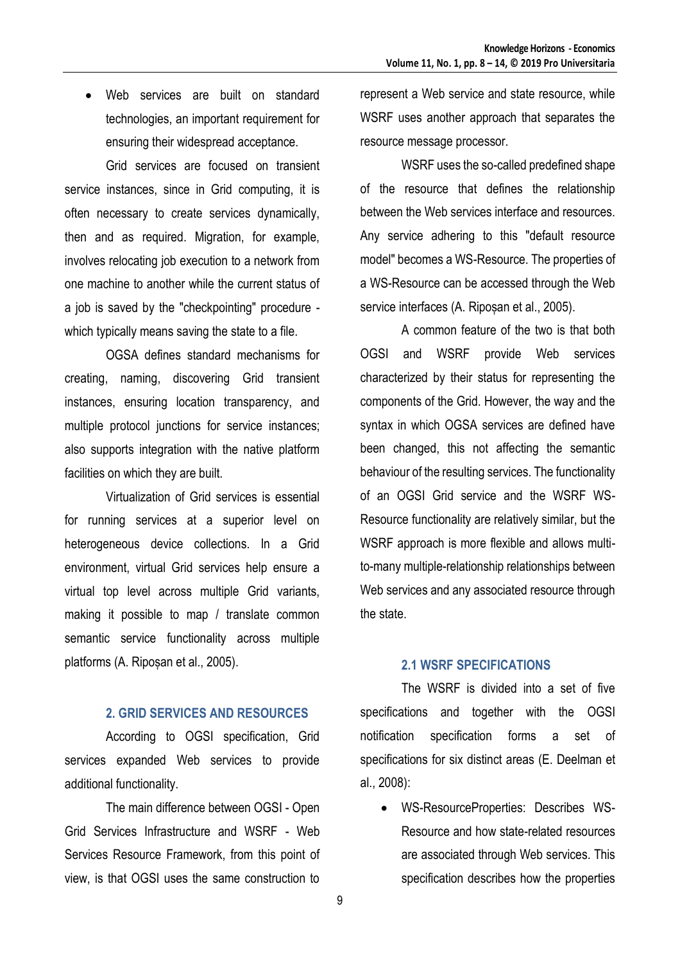Web services are built on standard technologies, an important requirement for ensuring their widespread acceptance.

Grid services are focused on transient service instances, since in Grid computing, it is often necessary to create services dynamically, then and as required. Migration, for example, involves relocating job execution to a network from one machine to another while the current status of a job is saved by the "checkpointing" procedure which typically means saving the state to a file.

OGSA defines standard mechanisms for creating, naming, discovering Grid transient instances, ensuring location transparency, and multiple protocol junctions for service instances; also supports integration with the native platform facilities on which they are built.

Virtualization of Grid services is essential for running services at a superior level on heterogeneous device collections. In a Grid environment, virtual Grid services help ensure a virtual top level across multiple Grid variants, making it possible to map / translate common semantic service functionality across multiple platforms (A. Ripoșan et al., 2005).

### **2. GRID SERVICES AND RESOURCES**

According to OGSI specification, Grid services expanded Web services to provide additional functionality.

The main difference between OGSI - Open Grid Services Infrastructure and WSRF - Web Services Resource Framework, from this point of view, is that OGSI uses the same construction to

represent a Web service and state resource, while WSRF uses another approach that separates the resource message processor.

WSRF uses the so-called predefined shape of the resource that defines the relationship between the Web services interface and resources. Any service adhering to this "default resource model" becomes a WS-Resource. The properties of a WS-Resource can be accessed through the Web service interfaces (A. Ripoșan et al., 2005).

A common feature of the two is that both OGSI and WSRF provide Web services characterized by their status for representing the components of the Grid. However, the way and the syntax in which OGSA services are defined have been changed, this not affecting the semantic behaviour of the resulting services. The functionality of an OGSI Grid service and the WSRF WS-Resource functionality are relatively similar, but the WSRF approach is more flexible and allows multito-many multiple-relationship relationships between Web services and any associated resource through the state.

### **2.1 WSRF SPECIFICATIONS**

The WSRF is divided into a set of five specifications and together with the OGSI notification specification forms a set of specifications for six distinct areas (E. Deelman et al., 2008):

 WS-ResourceProperties: Describes WS-Resource and how state-related resources are associated through Web services. This specification describes how the properties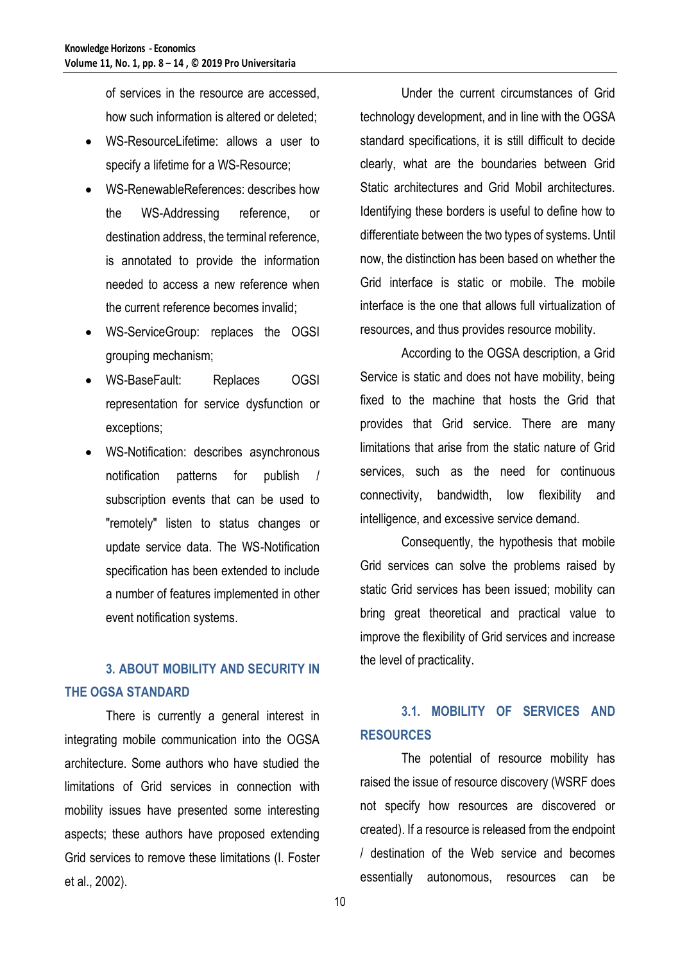of services in the resource are accessed, how such information is altered or deleted;

- WS-ResourceLifetime: allows a user to specify a lifetime for a WS-Resource;
- WS-RenewableReferences: describes how the WS-Addressing reference, or destination address, the terminal reference, is annotated to provide the information needed to access a new reference when the current reference becomes invalid;
- WS-ServiceGroup: replaces the OGSI grouping mechanism;
- WS-BaseFault: Replaces OGSI representation for service dysfunction or exceptions;
- WS-Notification: describes asynchronous notification patterns for publish / subscription events that can be used to "remotely" listen to status changes or update service data. The WS-Notification specification has been extended to include a number of features implemented in other event notification systems.

# **3. ABOUT MOBILITY AND SECURITY IN THE OGSA STANDARD**

There is currently a general interest in integrating mobile communication into the OGSA architecture. Some authors who have studied the limitations of Grid services in connection with mobility issues have presented some interesting aspects; these authors have proposed extending Grid services to remove these limitations (I. Foster et al., 2002).

Under the current circumstances of Grid technology development, and in line with the OGSA standard specifications, it is still difficult to decide clearly, what are the boundaries between Grid Static architectures and Grid Mobil architectures. Identifying these borders is useful to define how to differentiate between the two types of systems. Until now, the distinction has been based on whether the Grid interface is static or mobile. The mobile interface is the one that allows full virtualization of resources, and thus provides resource mobility.

According to the OGSA description, a Grid Service is static and does not have mobility, being fixed to the machine that hosts the Grid that provides that Grid service. There are many limitations that arise from the static nature of Grid services, such as the need for continuous connectivity, bandwidth, low flexibility and intelligence, and excessive service demand.

Consequently, the hypothesis that mobile Grid services can solve the problems raised by static Grid services has been issued; mobility can bring great theoretical and practical value to improve the flexibility of Grid services and increase the level of practicality.

# **3.1. MOBILITY OF SERVICES AND RESOURCES**

The potential of resource mobility has raised the issue of resource discovery (WSRF does not specify how resources are discovered or created). If a resource is released from the endpoint / destination of the Web service and becomes essentially autonomous, resources can be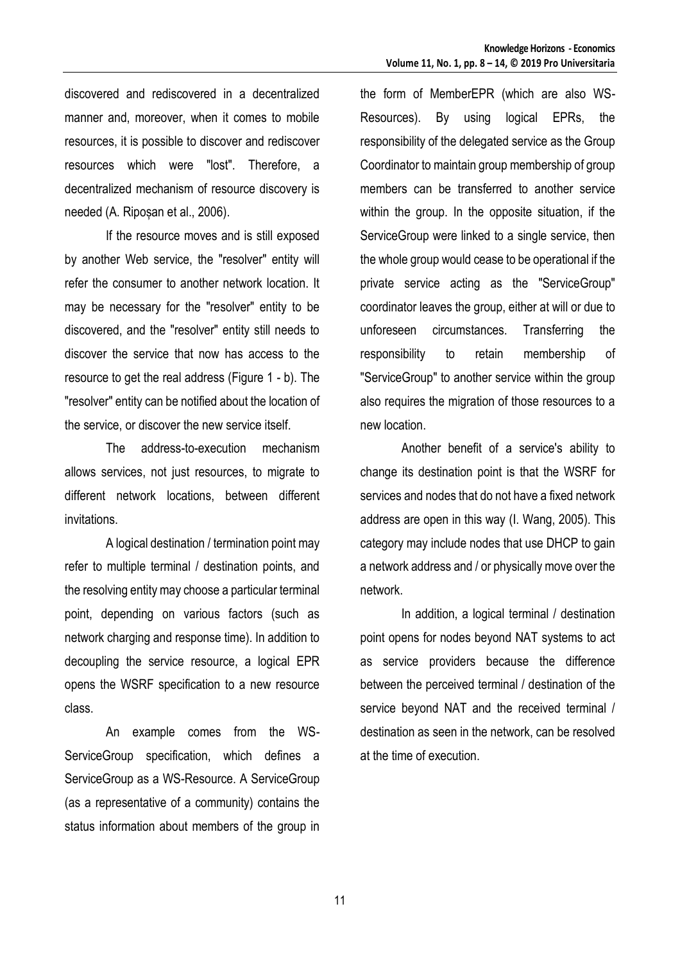discovered and rediscovered in a decentralized manner and, moreover, when it comes to mobile resources, it is possible to discover and rediscover resources which were "lost". Therefore, a decentralized mechanism of resource discovery is needed (A. Ripoșan et al., 2006).

If the resource moves and is still exposed by another Web service, the "resolver" entity will refer the consumer to another network location. It may be necessary for the "resolver" entity to be discovered, and the "resolver" entity still needs to discover the service that now has access to the resource to get the real address (Figure 1 - b). The "resolver" entity can be notified about the location of the service, or discover the new service itself.

The address-to-execution mechanism allows services, not just resources, to migrate to different network locations, between different invitations.

A logical destination / termination point may refer to multiple terminal / destination points, and the resolving entity may choose a particular terminal point, depending on various factors (such as network charging and response time). In addition to decoupling the service resource, a logical EPR opens the WSRF specification to a new resource class.

An example comes from the WS-ServiceGroup specification, which defines a ServiceGroup as a WS-Resource. A ServiceGroup (as a representative of a community) contains the status information about members of the group in the form of MemberEPR (which are also WS-Resources). By using logical EPRs, the responsibility of the delegated service as the Group Coordinator to maintain group membership of group members can be transferred to another service within the group. In the opposite situation, if the ServiceGroup were linked to a single service, then the whole group would cease to be operational if the private service acting as the "ServiceGroup" coordinator leaves the group, either at will or due to unforeseen circumstances. Transferring the responsibility to retain membership of "ServiceGroup" to another service within the group also requires the migration of those resources to a new location.

Another benefit of a service's ability to change its destination point is that the WSRF for services and nodes that do not have a fixed network address are open in this way (I. Wang, 2005). This category may include nodes that use DHCP to gain a network address and / or physically move over the network.

In addition, a logical terminal / destination point opens for nodes beyond NAT systems to act as service providers because the difference between the perceived terminal / destination of the service beyond NAT and the received terminal / destination as seen in the network, can be resolved at the time of execution.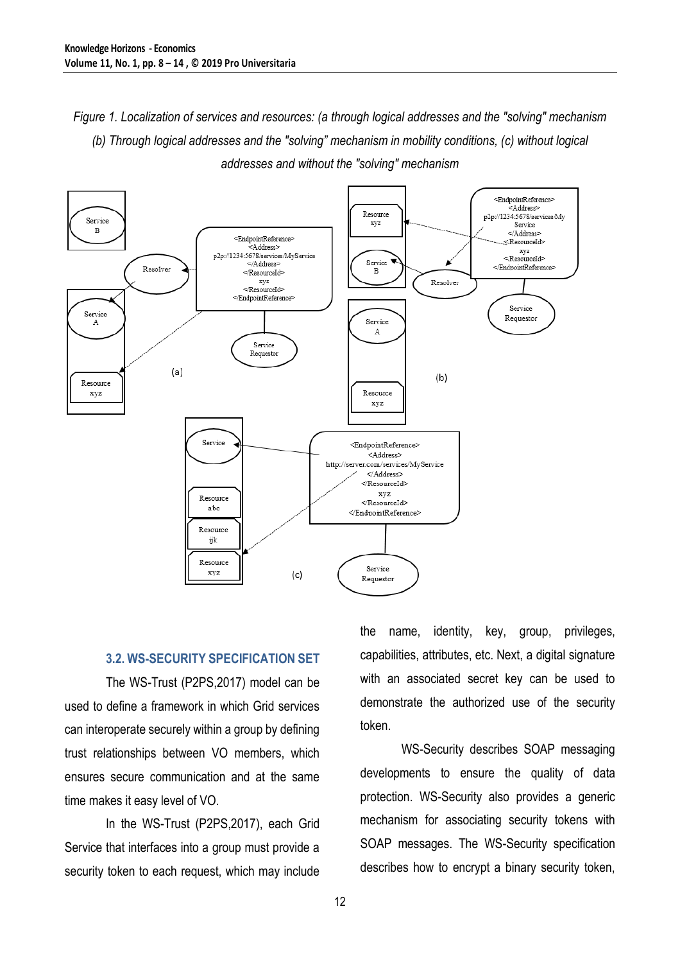*Figure 1. Localization of services and resources: (a through logical addresses and the "solving" mechanism (b) Through logical addresses and the "solving" mechanism in mobility conditions, (c) without logical addresses and without the "solving" mechanism*



### **3.2. WS-SECURITY SPECIFICATION SET**

The WS-Trust (P2PS,2017) model can be used to define a framework in which Grid services can interoperate securely within a group by defining trust relationships between VO members, which ensures secure communication and at the same time makes it easy level of VO.

In the WS-Trust (P2PS,2017), each Grid Service that interfaces into a group must provide a security token to each request, which may include the name, identity, key, group, privileges, capabilities, attributes, etc. Next, a digital signature with an associated secret key can be used to demonstrate the authorized use of the security token.

WS-Security describes SOAP messaging developments to ensure the quality of data protection. WS-Security also provides a generic mechanism for associating security tokens with SOAP messages. The WS-Security specification describes how to encrypt a binary security token,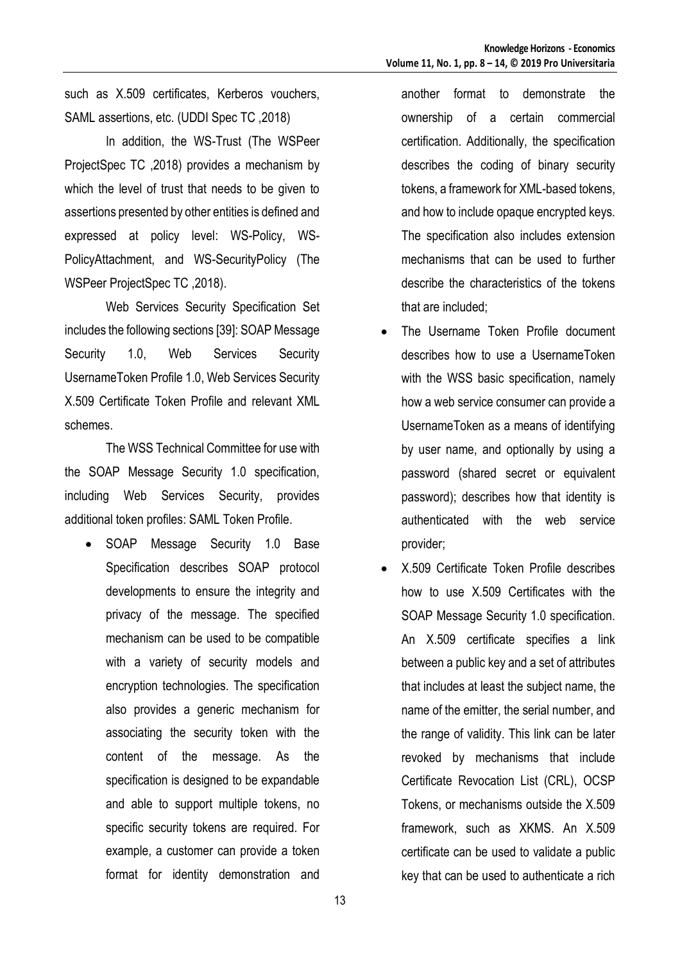such as X.509 certificates, Kerberos vouchers, SAML assertions, etc. (UDDI Spec TC ,2018)

In addition, the WS-Trust (The WSPeer ProjectSpec TC ,2018) provides a mechanism by which the level of trust that needs to be given to assertions presented by other entities is defined and expressed at policy level: WS-Policy, WS-PolicyAttachment, and WS-SecurityPolicy (The WSPeer ProjectSpec TC ,2018).

Web Services Security Specification Set includes the following sections [39]: SOAP Message Security 1.0, Web Services Security UsernameToken Profile 1.0, Web Services Security X.509 Certificate Token Profile and relevant XML schemes.

The WSS Technical Committee for use with the SOAP Message Security 1.0 specification, including Web Services Security, provides additional token profiles: SAML Token Profile.

• SOAP Message Security 1.0 Base Specification describes SOAP protocol developments to ensure the integrity and privacy of the message. The specified mechanism can be used to be compatible with a variety of security models and encryption technologies. The specification also provides a generic mechanism for associating the security token with the content of the message. As the specification is designed to be expandable and able to support multiple tokens, no specific security tokens are required. For example, a customer can provide a token format for identity demonstration and

another format to demonstrate the ownership of a certain commercial certification. Additionally, the specification describes the coding of binary security tokens, a framework for XML-based tokens, and how to include opaque encrypted keys. The specification also includes extension mechanisms that can be used to further describe the characteristics of the tokens that are included;

- The Username Token Profile document describes how to use a UsernameToken with the WSS basic specification, namely how a web service consumer can provide a UsernameToken as a means of identifying by user name, and optionally by using a password (shared secret or equivalent password); describes how that identity is authenticated with the web service provider;
- X.509 Certificate Token Profile describes how to use X.509 Certificates with the SOAP Message Security 1.0 specification. An X.509 certificate specifies a link between a public key and a set of attributes that includes at least the subject name, the name of the emitter, the serial number, and the range of validity. This link can be later revoked by mechanisms that include Certificate Revocation List (CRL), OCSP Tokens, or mechanisms outside the X.509 framework, such as XKMS. An X.509 certificate can be used to validate a public key that can be used to authenticate a rich